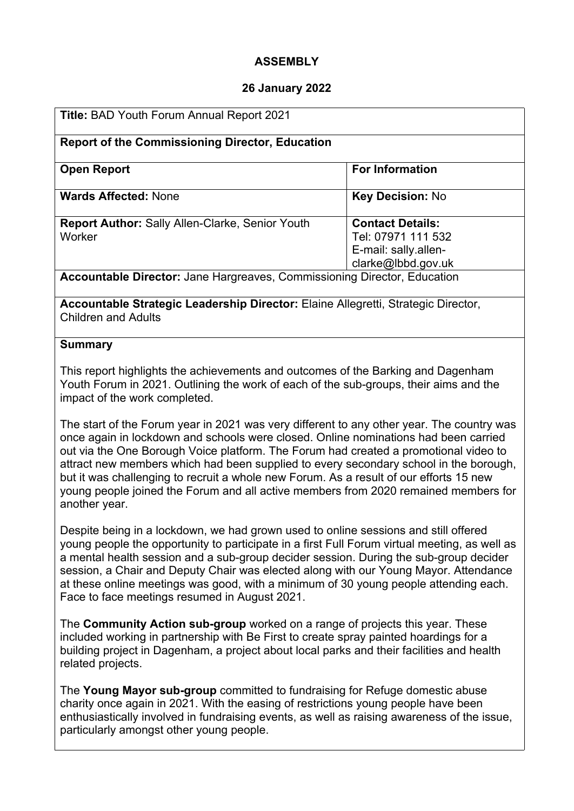### **ASSEMBLY**

#### **26 January 2022**

| <b>Title: BAD Youth Forum Annual Report 2021</b>                         |                                                                                             |
|--------------------------------------------------------------------------|---------------------------------------------------------------------------------------------|
| <b>Report of the Commissioning Director, Education</b>                   |                                                                                             |
| <b>Open Report</b>                                                       | <b>For Information</b>                                                                      |
| <b>Wards Affected: None</b>                                              | <b>Key Decision: No</b>                                                                     |
| <b>Report Author: Sally Allen-Clarke, Senior Youth</b><br>Worker         | <b>Contact Details:</b><br>Tel: 07971 111 532<br>E-mail: sally.allen-<br>clarke@lbbd.gov.uk |
| Accountable Director: Jane Hargreaves, Commissioning Director, Education |                                                                                             |

**Accountable Strategic Leadership Director:** Elaine Allegretti, Strategic Director, Children and Adults

#### **Summary**

This report highlights the achievements and outcomes of the Barking and Dagenham Youth Forum in 2021. Outlining the work of each of the sub-groups, their aims and the impact of the work completed.

The start of the Forum year in 2021 was very different to any other year. The country was once again in lockdown and schools were closed. Online nominations had been carried out via the One Borough Voice platform. The Forum had created a promotional video to attract new members which had been supplied to every secondary school in the borough, but it was challenging to recruit a whole new Forum. As a result of our efforts 15 new young people joined the Forum and all active members from 2020 remained members for another year.

Despite being in a lockdown, we had grown used to online sessions and still offered young people the opportunity to participate in a first Full Forum virtual meeting, as well as a mental health session and a sub-group decider session. During the sub-group decider session, a Chair and Deputy Chair was elected along with our Young Mayor. Attendance at these online meetings was good, with a minimum of 30 young people attending each. Face to face meetings resumed in August 2021.

The **Community Action sub-group** worked on a range of projects this year. These included working in partnership with Be First to create spray painted hoardings for a building project in Dagenham, a project about local parks and their facilities and health related projects.

The **Young Mayor sub-group** committed to fundraising for Refuge domestic abuse charity once again in 2021. With the easing of restrictions young people have been enthusiastically involved in fundraising events, as well as raising awareness of the issue, particularly amongst other young people.